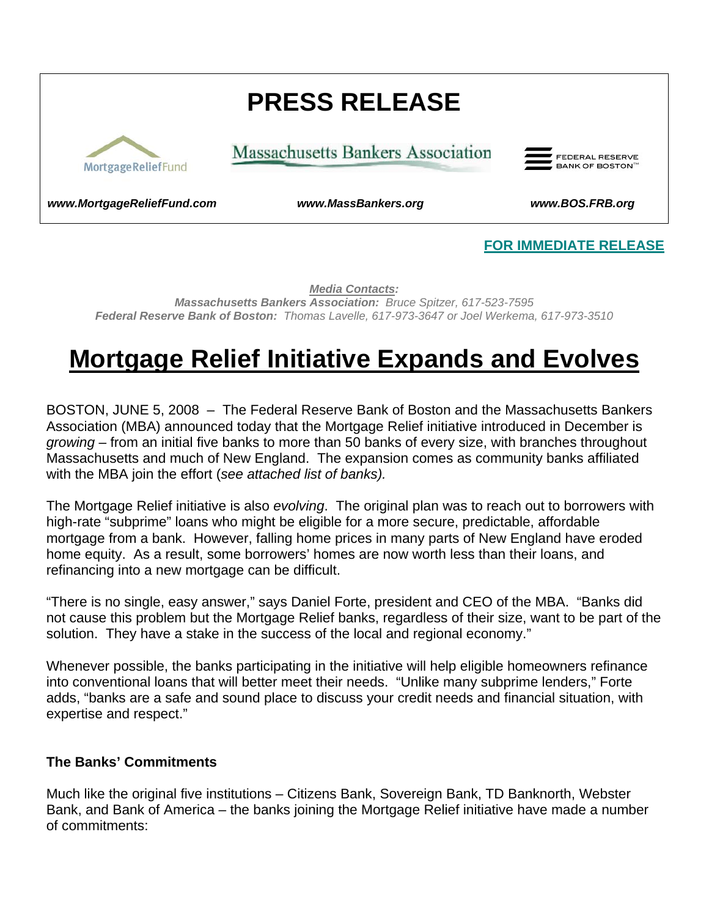# **PRESS RELEASE**



**Massachusetts Bankers Association** 



*[www.MortgageReliefFund.com](http://www.mortgagerelieffund.com/) www.MassBankers.org www.BOS.FRB.org* 

#### **FOR IMMEDIATE RELEASE**

*Media Contacts: Massachusetts Bankers Association: Bruce Spitzer, 617-523-7595 Federal Reserve Bank of Boston: Thomas Lavelle, 617-973-3647 or Joel Werkema, 617-973-3510*

# **Mortgage Relief Initiative Expands and Evolves**

BOSTON, JUNE 5, 2008 – The Federal Reserve Bank of Boston and the Massachusetts Bankers Association (MBA) announced today that the Mortgage Relief initiative introduced in December is *growing* – from an initial five banks to more than 50 banks of every size, with branches throughout Massachusetts and much of New England. The expansion comes as community banks affiliated with the MBA join the effort (*see attached list of banks).*

The Mortgage Relief initiative is also *evolving*. The original plan was to reach out to borrowers with high-rate "subprime" loans who might be eligible for a more secure, predictable, affordable mortgage from a bank. However, falling home prices in many parts of New England have eroded home equity. As a result, some borrowers' homes are now worth less than their loans, and refinancing into a new mortgage can be difficult.

"There is no single, easy answer," says Daniel Forte, president and CEO of the MBA. "Banks did not cause this problem but the Mortgage Relief banks, regardless of their size, want to be part of the solution. They have a stake in the success of the local and regional economy."

Whenever possible, the banks participating in the initiative will help eligible homeowners refinance into conventional loans that will better meet their needs. "Unlike many subprime lenders," Forte adds, "banks are a safe and sound place to discuss your credit needs and financial situation, with expertise and respect."

#### **The Banks' Commitments**

Much like the original five institutions – Citizens Bank, Sovereign Bank, TD Banknorth, Webster Bank, and Bank of America – the banks joining the Mortgage Relief initiative have made a number of commitments: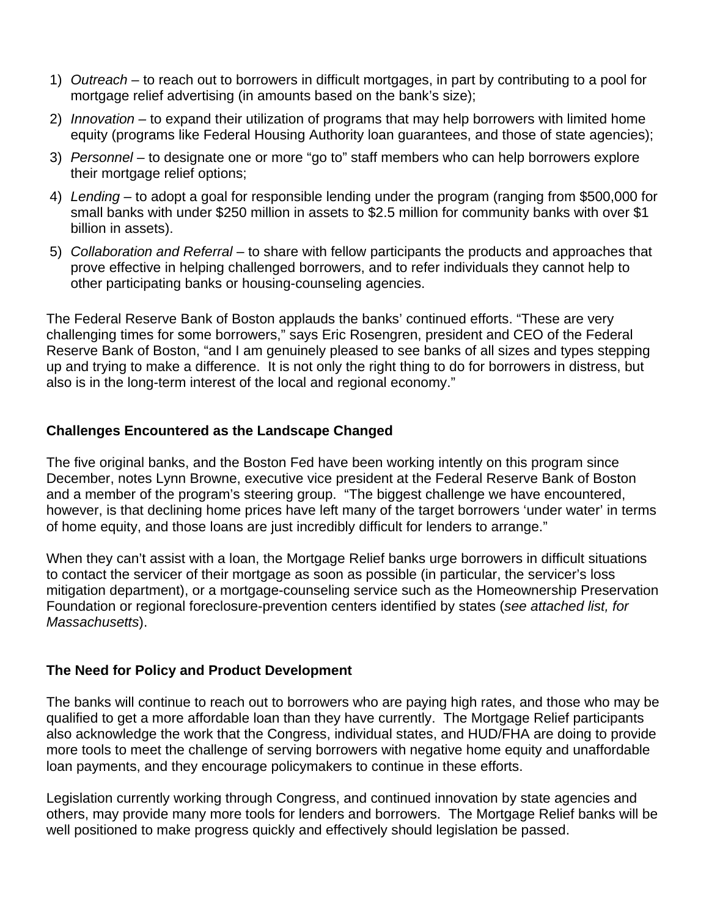- 1) *Outreach* to reach out to borrowers in difficult mortgages, in part by contributing to a pool for mortgage relief advertising (in amounts based on the bank's size);
- 2) *Innovation* to expand their utilization of programs that may help borrowers with limited home equity (programs like Federal Housing Authority loan guarantees, and those of state agencies);
- 3) *Personnel* to designate one or more "go to" staff members who can help borrowers explore their mortgage relief options;
- 4) *Lending* to adopt a goal for responsible lending under the program (ranging from \$500,000 for small banks with under \$250 million in assets to \$2.5 million for community banks with over \$1 billion in assets).
- 5) *Collaboration and Referral –* to share with fellow participants the products and approaches that prove effective in helping challenged borrowers, and to refer individuals they cannot help to other participating banks or housing-counseling agencies.

The Federal Reserve Bank of Boston applauds the banks' continued efforts. "These are very challenging times for some borrowers," says Eric Rosengren, president and CEO of the Federal Reserve Bank of Boston, "and I am genuinely pleased to see banks of all sizes and types stepping up and trying to make a difference. It is not only the right thing to do for borrowers in distress, but also is in the long-term interest of the local and regional economy."

#### **Challenges Encountered as the Landscape Changed**

The five original banks, and the Boston Fed have been working intently on this program since December, notes Lynn Browne, executive vice president at the Federal Reserve Bank of Boston and a member of the program's steering group. "The biggest challenge we have encountered, however, is that declining home prices have left many of the target borrowers 'under water' in terms of home equity, and those loans are just incredibly difficult for lenders to arrange."

When they can't assist with a loan, the Mortgage Relief banks urge borrowers in difficult situations to contact the servicer of their mortgage as soon as possible (in particular, the servicer's loss mitigation department), or a mortgage-counseling service such as the Homeownership Preservation Foundation or regional foreclosure-prevention centers identified by states (*see attached list, for Massachusetts*).

#### **The Need for Policy and Product Development**

The banks will continue to reach out to borrowers who are paying high rates, and those who may be qualified to get a more affordable loan than they have currently. The Mortgage Relief participants also acknowledge the work that the Congress, individual states, and HUD/FHA are doing to provide more tools to meet the challenge of serving borrowers with negative home equity and unaffordable loan payments, and they encourage policymakers to continue in these efforts.

Legislation currently working through Congress, and continued innovation by state agencies and others, may provide many more tools for lenders and borrowers. The Mortgage Relief banks will be well positioned to make progress quickly and effectively should legislation be passed.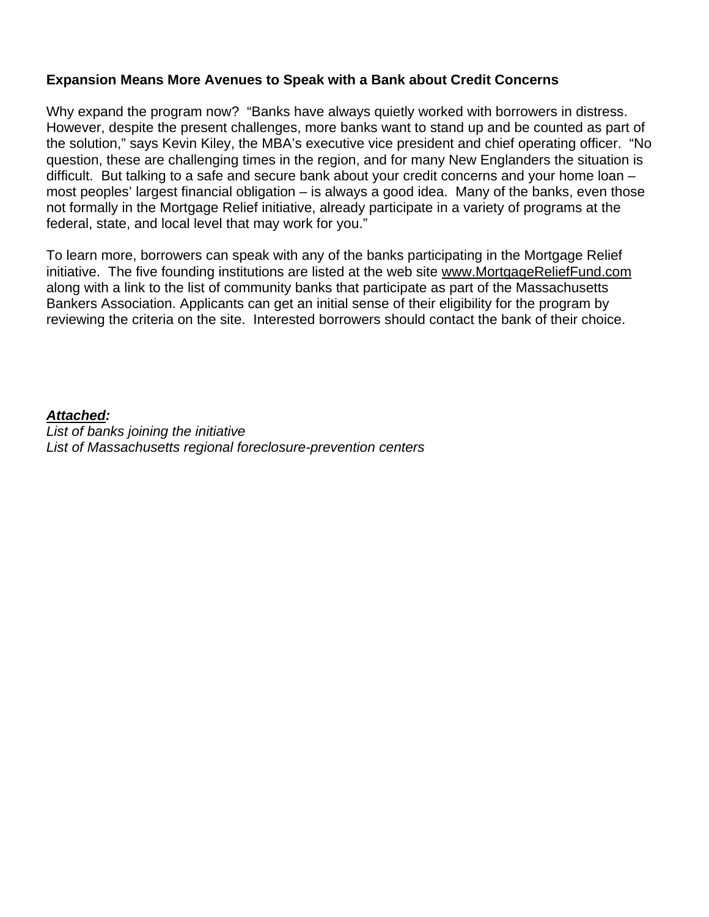#### **Expansion Means More Avenues to Speak with a Bank about Credit Concerns**

Why expand the program now? "Banks have always quietly worked with borrowers in distress. However, despite the present challenges, more banks want to stand up and be counted as part of the solution," says Kevin Kiley, the MBA's executive vice president and chief operating officer. "No question, these are challenging times in the region, and for many New Englanders the situation is difficult. But talking to a safe and secure bank about your credit concerns and your home loan – most peoples' largest financial obligation – is always a good idea. Many of the banks, even those not formally in the Mortgage Relief initiative, already participate in a variety of programs at the federal, state, and local level that may work for you."

To learn more, borrowers can speak with any of the banks participating in the Mortgage Relief initiative. The five founding institutions are listed at the web site [www.MortgageReliefFund.com](http://www.mortgagerelieffund.com/) along with a link to the list of community banks that participate as part of the Massachusetts Bankers Association. Applicants can get an initial sense of their eligibility for the program by reviewing the criteria on the site. Interested borrowers should contact the bank of their choice.

#### *Attached:*

*List of banks joining the initiative List of Massachusetts regional foreclosure-prevention centers*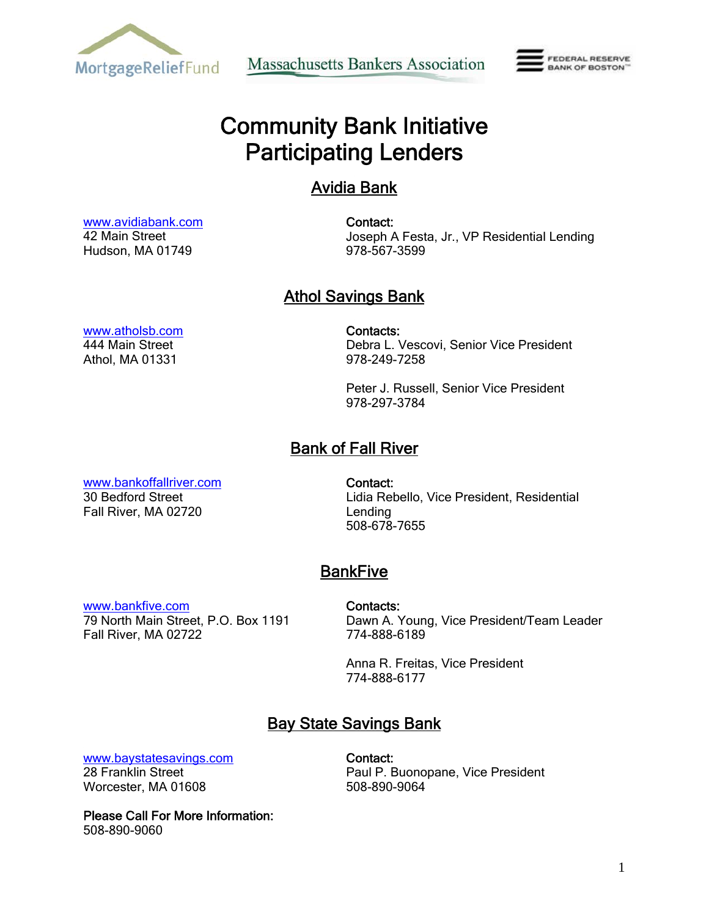

**Massachusetts Bankers Association** 



# Community Bank Initiative Participating Lenders

# Avidia Bank

 [www.avidiabank.com](http://www.avidiabank.com/) 42 Main Street Hudson, MA 01749

Contact: Joseph A Festa, Jr., VP Residential Lending 978-567-3599

# **Athol Savings Bank**

 [www.atholsb.com](http://www.atholsb.com/) 444 Main Street Athol, MA 01331

Contacts: Debra L. Vescovi, Senior Vice President 978-249-7258

Peter J. Russell, Senior Vice President 978-297-3784

# Bank of Fall River

 [www.bankoffallriver.com](http://www.bankoffallriver.com/) 30 Bedford Street Fall River, MA 02720

Contact: Lidia Rebello, Vice President, Residential Lending 508-678-7655

# **BankFive**

 [www.bankfive.com](http://www.bankfive.com/)  79 North Main Street, P.O. Box 1191 Fall River, MA 02722

Contacts:

Dawn A. Young, Vice President/Team Leader 774-888-6189

Anna R. Freitas, Vice President 774-888-6177

# Bay State Savings Bank

[www.baystatesavings.com](http://www.baystatesavings.com/) 

28 Franklin Street Worcester, MA 01608 Contact: Paul P. Buonopane, Vice President 508-890-9064

Please Call For More Information: 508-890-9060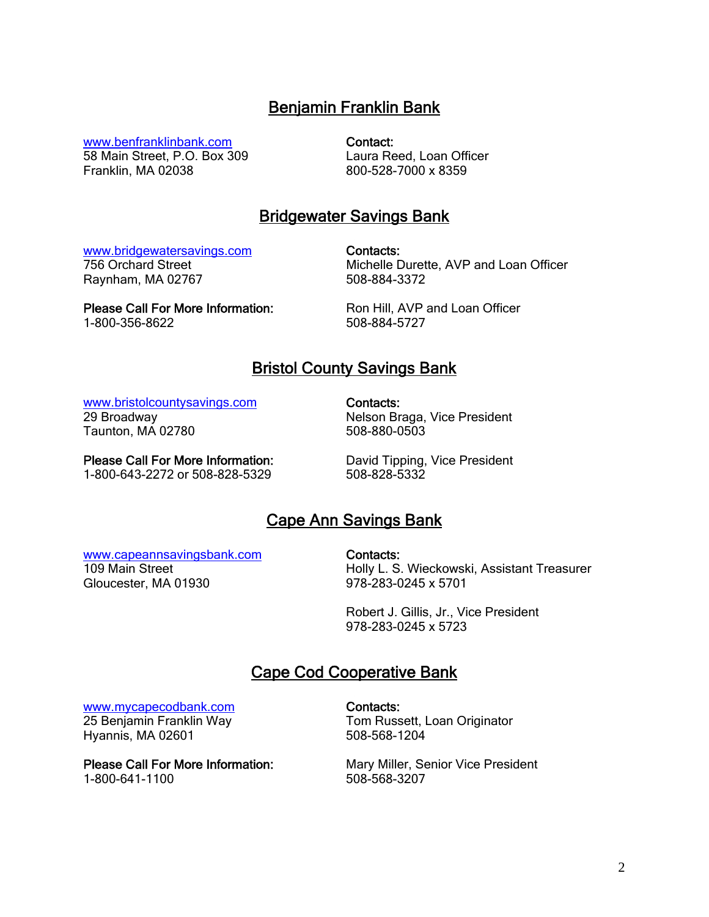# Benjamin Franklin Bank

[www.benfranklinbank.com](http://www.benfranklinbank.com/)

58 Main Street, P.O. Box 309 Franklin, MA 02038

Contact: Laura Reed, Loan Officer 800-528-7000 x 8359

# Bridgewater Savings Bank

 [www.bridgewatersavings.com](http://www.bridgewatersavings.com/)  756 Orchard Street Raynham, MA 02767

Contacts: Michelle Durette, AVP and Loan Officer 508-884-3372

Please Call For More Information: 1-800-356-8622

Ron Hill, AVP and Loan Officer 508-884-5727

### Bristol County Savings Bank

 [www.bristolcountysavings.com](http://www.bristolcountysavings.com/)  29 Broadway Taunton, MA 02780

Contacts: Nelson Braga, Vice President 508-880-0503

Please Call For More Information: 1-800-643-2272 or 508-828-5329

David Tipping, Vice President 508-828-5332

# Cape Ann Savings Bank

#### [www.capeannsavingsbank.com](http://www.capeannsavingsbank.com/) 109 Main Street Gloucester, MA 01930

Contacts:

Holly L. S. Wieckowski, Assistant Treasurer 978-283-0245 x 5701

Robert J. Gillis, Jr., Vice President 978-283-0245 x 5723

# Cape Cod Cooperative Bank

 [www.mycapecodbank.co](http://www.capecodcoop.com/)m 25 Benjamin Franklin Way

Hyannis, MA 02601

Please Call For More Information: 1-800-641-1100

Contacts: Tom Russett, Loan Originator 508-568-1204

Mary Miller, Senior Vice President 508-568-3207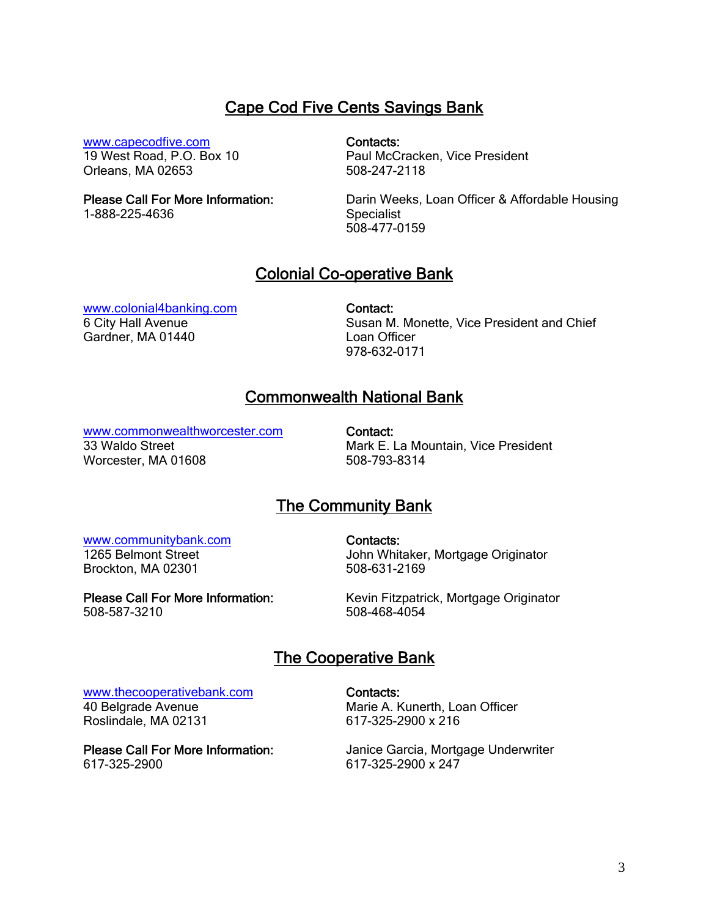# Cape Cod Five Cents Savings Bank

[www.capecodfive.com](http://www.capecodfive.com/)

19 West Road, P.O. Box 10 Orleans, MA 02653

Please Call For More Information:

1-888-225-4636

#### Contacts:

Paul McCracken, Vice President 508-247-2118

Darin Weeks, Loan Officer & Affordable Housing **Specialist** 508-477-0159

### Colonial Co-operative Bank

 [www.colonial4banking.com](http://www.colonial4banking.com/)  6 City Hall Avenue Gardner, MA 01440

Contact: Susan M. Monette, Vice President and Chief Loan Officer 978-632-0171

# Commonwealth National Bank

[www.commonwealthworcester.com](http://www.commonwealthworcester.com/)

33 Waldo Street Worcester, MA 01608

Contact: Mark E. La Mountain, Vice President 508-793-8314

### The Community Bank

#### [www.communitybank.com](http://www.communitybank.com/)

1265 Belmont Street Brockton, MA 02301

Please Call For More Information: 508-587-3210

Contacts: John Whitaker, Mortgage Originator 508-631-2169

Kevin Fitzpatrick, Mortgage Originator 508-468-4054

# The Cooperative Bank

#### [www.thecooperativebank.com](http://www.thecooperativebank.com/)

40 Belgrade Avenue Roslindale, MA 02131

Please Call For More Information: 617-325-2900

Contacts:

Marie A. Kunerth, Loan Officer 617-325-2900 x 216

Janice Garcia, Mortgage Underwriter 617-325-2900 x 247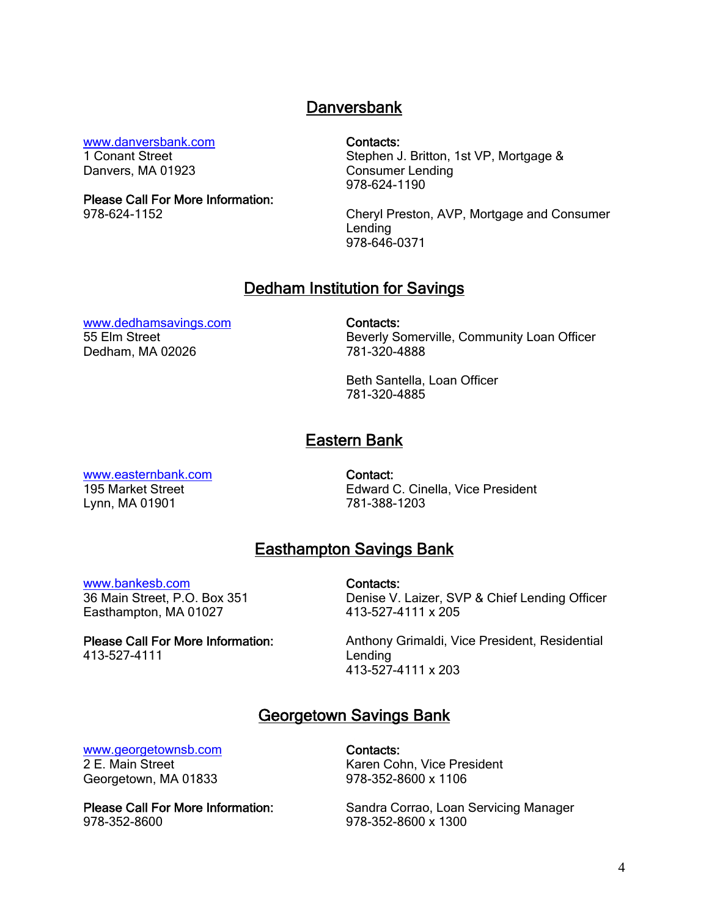#### **Danversbank**

[www.danversbank.com](http://www.danversbank.com/) 

1 Conant Street Danvers, MA 01923

Please Call For More Information: 978-624-1152

Contacts:

Stephen J. Britton, 1st VP, Mortgage & Consumer Lending 978-624-1190

Cheryl Preston, AVP, Mortgage and Consumer Lending 978-646-0371

#### Dedham Institution for Savings

 [www.dedhamsavings.com](http://www.dedhamsavings.com/)  55 Elm Street Dedham, MA 02026

Contacts: Beverly Somerville, Community Loan Officer 781-320-4888

Beth Santella, Loan Officer 781-320-4885

### Eastern Bank

 [www.easternbank.com](http://www.easternbank.com/) 195 Market Street Lynn, MA 01901

Contact: Edward C. Cinella, Vice President 781-388-1203

# Easthampton Savings Bank

 [www.bankesb.com](http://www.bankesb.com/) 36 Main Street, P.O. Box 351 Easthampton, MA 01027

Please Call For More Information: 413-527-4111

Contacts: Denise V. Laizer, SVP & Chief Lending Officer 413-527-4111 x 205

Anthony Grimaldi, Vice President, Residential Lending 413-527-4111 x 203

### Georgetown Savings Bank

#### [www.georgetownsb.com](http://www.georgetownsb.com/)

2 E. Main Street Georgetown, MA 01833

Please Call For More Information: 978-352-8600

Contacts: Karen Cohn, Vice President 978-352-8600 x 1106

Sandra Corrao, Loan Servicing Manager 978-352-8600 x 1300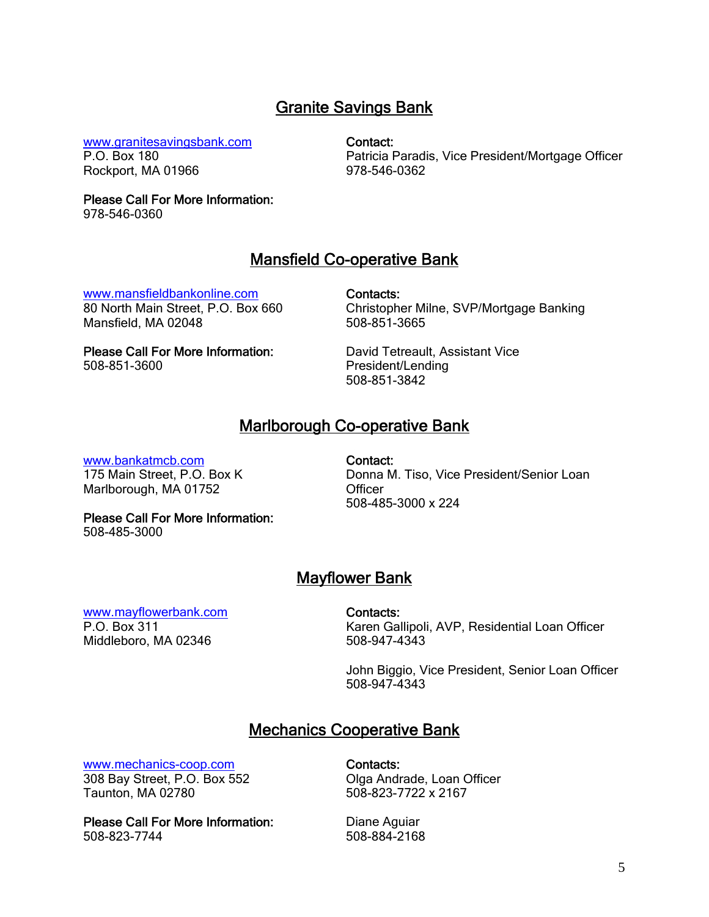# Granite Savings Bank

 [www.granitesavingsbank.com](http://www.granitesavingsbank.com/)  P.O. Box 180 Rockport, MA 01966

Contact:

Patricia Paradis, Vice President/Mortgage Officer 978-546-0362

Please Call For More Information: 978-546-0360

### Mansfield Co-operative Bank

 [www.mansfieldbankonline.com](http://www.mansfieldbankonline.com/) 80 North Main Street, P.O. Box 660 Mansfield, MA 02048

Contacts: Christopher Milne, SVP/Mortgage Banking 508-851-3665

Please Call For More Information: 508-851-3600

David Tetreault, Assistant Vice President/Lending 508-851-3842

### Marlborough Co-operative Bank

#### [www.bankatmcb.com](http://www.bankatmcb.com/)

175 Main Street, P.O. Box K Marlborough, MA 01752

Contact: Donna M. Tiso, Vice President/Senior Loan **Officer** 508-485-3000 x 224

Please Call For More Information: 508-485-3000

**Mayflower Bank** 

 [www.mayflowerbank.com](http://www.mayflowerbank.com/)  P.O. Box 311 Middleboro, MA 02346

Contacts:

Karen Gallipoli, AVP, Residential Loan Officer 508-947-4343

John Biggio, Vice President, Senior Loan Officer 508-947-4343

# Mechanics Cooperative Bank

 [www.mechanics-coop.com](http://www.mechanics-coop.com/)  308 Bay Street, P.O. Box 552 Taunton, MA 02780

Please Call For More Information: 508-823-7744

Contacts: Olga Andrade, Loan Officer 508-823-7722 x 2167

Diane Aguiar 508-884-2168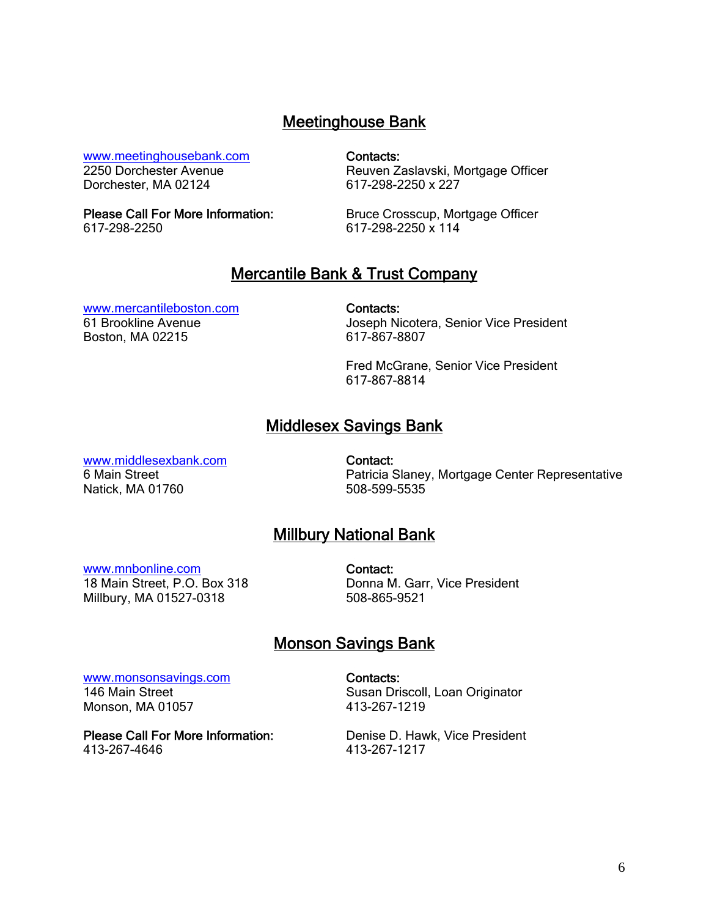### Meetinghouse Bank

#### [www.meetinghousebank.com](http://www.meetinghousebank.com/)

2250 Dorchester Avenue Dorchester, MA 02124

Please Call For More Information: 617-298-2250

Contacts:

Reuven Zaslavski, Mortgage Officer 617-298-2250 x 227

Bruce Crosscup, Mortgage Officer 617-298-2250 x 114

### Mercantile Bank & Trust Company

#### [www.mercantileboston.com](http://www.mercantileboston.com/)

61 Brookline Avenue Boston, MA 02215

Contacts:

Joseph Nicotera, Senior Vice President 617-867-8807

Fred McGrane, Senior Vice President 617-867-8814

# Middlesex Savings Bank

 [www.middlesexbank.com](http://www.middlesexbank.com/) 6 Main Street Natick, MA 01760

Contact: Patricia Slaney, Mortgage Center Representative 508-599-5535

# Millbury National Bank

#### [www.mnbonline.com](http://www.mnbonline.com/)

18 Main Street, P.O. Box 318 Millbury, MA 01527-0318

Contact: Donna M. Garr, Vice President 508-865-9521

# Monson Savings Bank

 [www.monsonsavings.com](http://www.monsonsavings.com/) 146 Main Street Monson, MA 01057

Please Call For More Information: 413-267-4646

Contacts: Susan Driscoll, Loan Originator 413-267-1219

Denise D. Hawk, Vice President 413-267-1217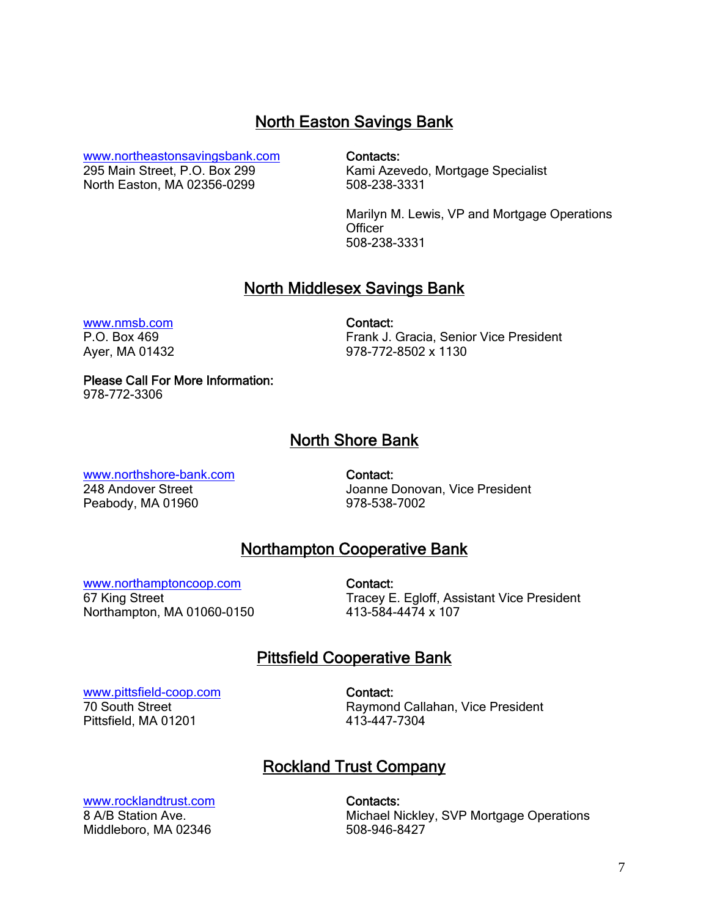### North Easton Savings Bank

[www.northeastonsavingsbank.com](http://www.northeastonsavingsbank.com/) 

295 Main Street, P.O. Box 299 North Easton, MA 02356-0299 Contacts:

Kami Azevedo, Mortgage Specialist 508-238-3331

Marilyn M. Lewis, VP and Mortgage Operations **Officer** 508-238-3331

### North Middlesex Savings Bank

 [www.nmsb.com](http://www.nmsb.com/)  P.O. Box 469 Ayer, MA 01432 Contact: Frank J. Gracia, Senior Vice President 978-772-8502 x 1130

Please Call For More Information:

978-772-3306

# North Shore Bank

 [www.northshore-bank.com](http://www.northshore-bank.com/)  248 Andover Street Peabody, MA 01960

Contact: Joanne Donovan, Vice President 978-538-7002

# Northampton Cooperative Bank

[www.northamptoncoop.com](http://www.northamptoncoop.com/)

67 King Street Northampton, MA 01060-0150

Contact: Tracey E. Egloff, Assistant Vice President 413-584-4474 x 107

# Pittsfield Cooperative Bank

 [www.pittsfield-coop.com](http://www.pittsfield-coop.com/)  70 South Street Pittsfield, MA 01201

Contact: Raymond Callahan, Vice President 413-447-7304

# Rockland Trust Company

 [www.rocklandtrust.com](http://www.rocklandtrust.com/)  8 A/B Station Ave. Middleboro, MA 02346

Contacts: Michael Nickley, SVP Mortgage Operations 508-946-8427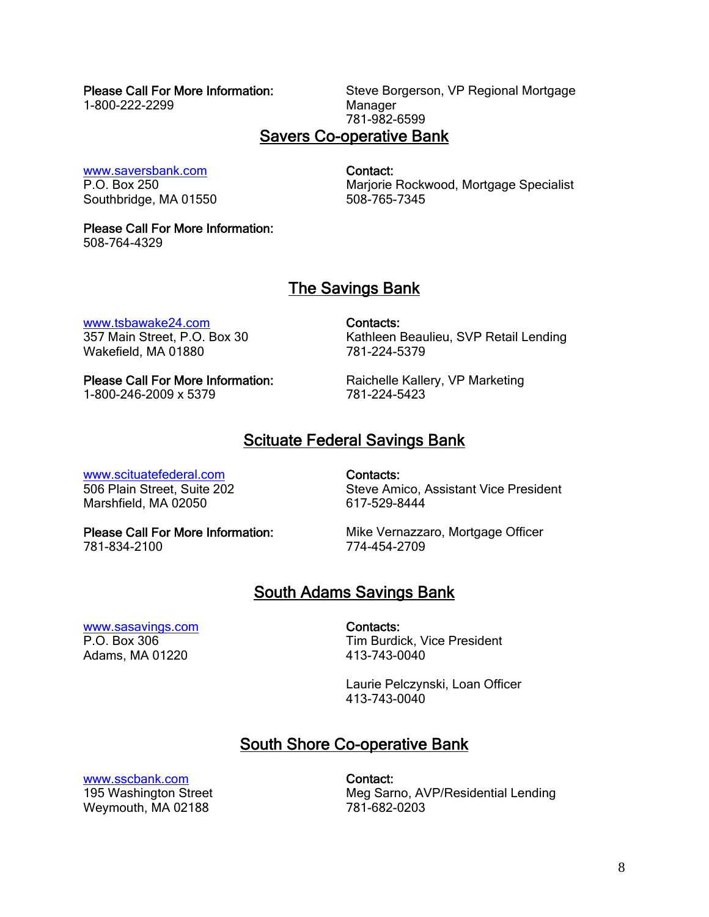#### Please Call For More Information:

1-800-222-2299

Steve Borgerson, VP Regional Mortgage Manager 781-982-6599

#### Savers Co-operative Bank

 [www.saversbank.com](http://www.saversbank.com/)  P.O. Box 250 Southbridge, MA 01550

Contact: Marjorie Rockwood, Mortgage Specialist 508-765-7345

#### Please Call For More Information:

508-764-4329

# The Savings Bank

[www.tsbawake24.com](http://www.tsbawake24.com/)

357 Main Street, P.O. Box 30 Wakefield, MA 01880

Contacts: Kathleen Beaulieu, SVP Retail Lending 781-224-5379

Please Call For More Information: 1-800-246-2009 x 5379

Raichelle Kallery, VP Marketing 781-224-5423

# Scituate Federal Savings Bank

#### [www.scituatefederal.com](http://www.scituatefederal.com/)

506 Plain Street, Suite 202 Marshfield, MA 02050

Contacts: Steve Amico, Assistant Vice President 617-529-8444

Please Call For More Information: 781-834-2100

Mike Vernazzaro, Mortgage Officer 774-454-2709

# South Adams Savings Bank

#### [www.sasavings.com](http://www.sasavings.com/)  P.O. Box 306 Adams, MA 01220

Contacts: Tim Burdick, Vice President 413-743-0040

Laurie Pelczynski, Loan Officer 413-743-0040

# South Shore Co-operative Bank

 [www.sscbank.com](http://www.sscbank.com/) 195 Washington Street Weymouth, MA 02188

Contact: Meg Sarno, AVP/Residential Lending 781-682-0203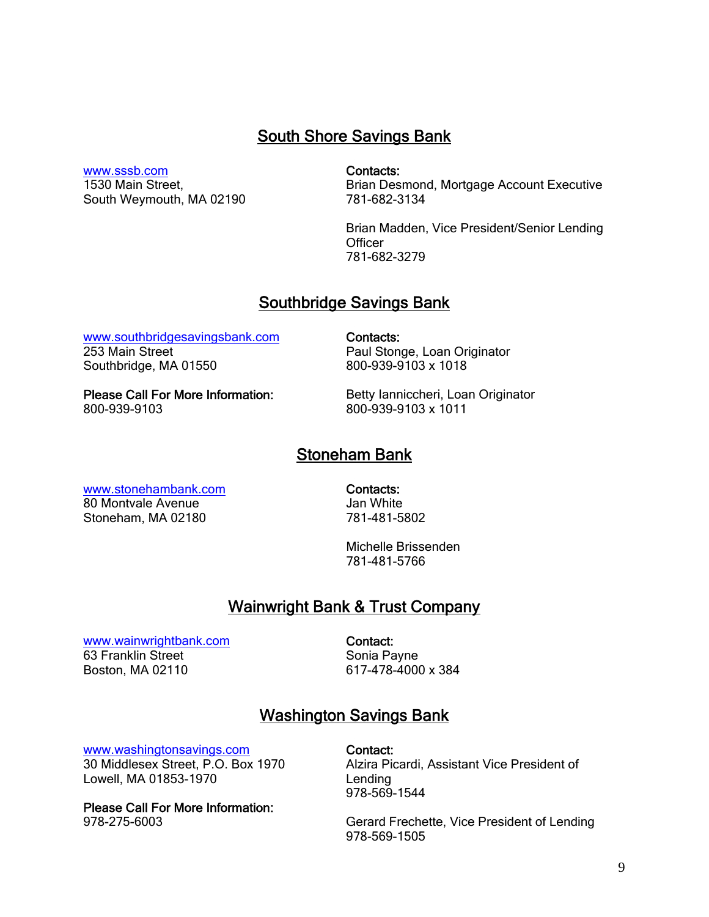# South Shore Savings Bank

Contacts:

 [www.sssb.com](http://www.sssb.com/) 1530 Main Street,

South Weymouth, MA 02190

Brian Desmond, Mortgage Account Executive 781-682-3134

Brian Madden, Vice President/Senior Lending **Officer** 781-682-3279

#### Southbridge Savings Bank

 [www.southbridgesavingsbank.com](http://www.southbridgesavingsbank.com/)  253 Main Street Southbridge, MA 01550

Contacts: Paul Stonge, Loan Originator 800-939-9103 x 1018

Please Call For More Information: 800-939-9103

Betty Ianniccheri, Loan Originator 800-939-9103 x 1011

#### Stoneham Bank

 [www.stonehambank.com](http://www.stonehambank.com/)  80 Montvale Avenue

Stoneham, MA 02180

Contacts: Jan White 781-481-5802

Michelle Brissenden 781-481-5766

### Wainwright Bank & Trust Company

 [www.wainwrightbank.com](http://www.wainwrightbank.com/)  63 Franklin Street Boston, MA 02110

Contact: Sonia Payne 617-478-4000 x 384

### Washington Savings Bank

[www.washingtonsavings.com](http://www.washingtonsavings.com/) 

30 Middlesex Street, P.O. Box 1970 Lowell, MA 01853-1970

Please Call For More Information: 978-275-6003

Contact: Alzira Picardi, Assistant Vice President of Lending 978-569-1544

Gerard Frechette, Vice President of Lending 978-569-1505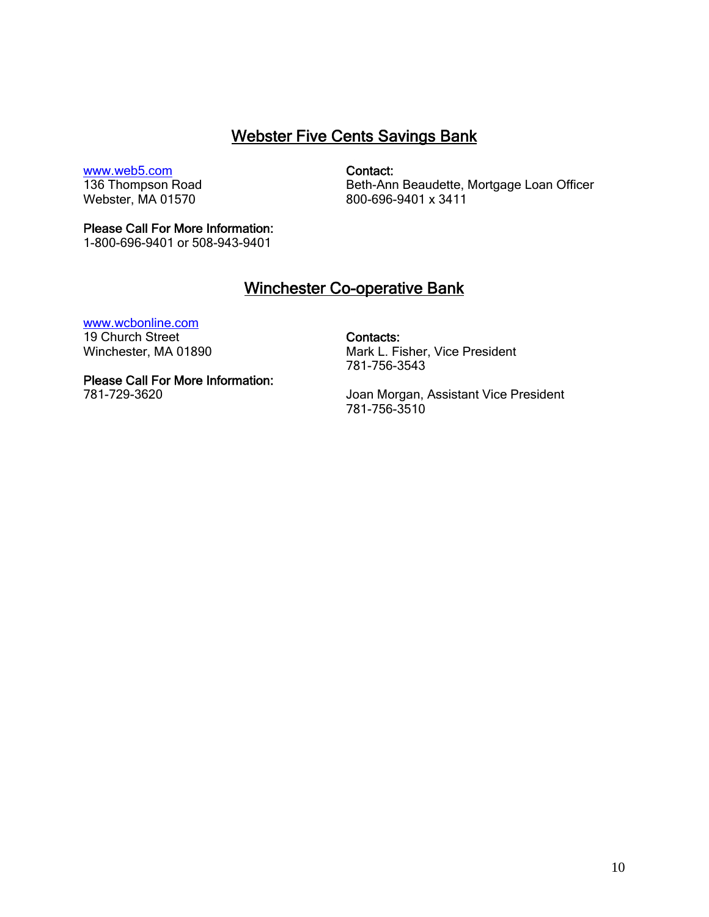# Webster Five Cents Savings Bank

#### [www.web5.com](http://www.web5.com/)

136 Thompson Road Webster, MA 01570

Contact:

Beth-Ann Beaudette, Mortgage Loan Officer 800-696-9401 x 3411

#### Please Call For More Information:

1-800-696-9401 or 508-943-9401

### Winchester Co-operative Bank

#### [www.wcbonline.com](http://www.wcbonline.com/)

19 Church Street Winchester, MA 01890

#### Please Call For More Information:

781-729-3620

Contacts: Mark L. Fisher, Vice President 781-756-3543

Joan Morgan, Assistant Vice President 781-756-3510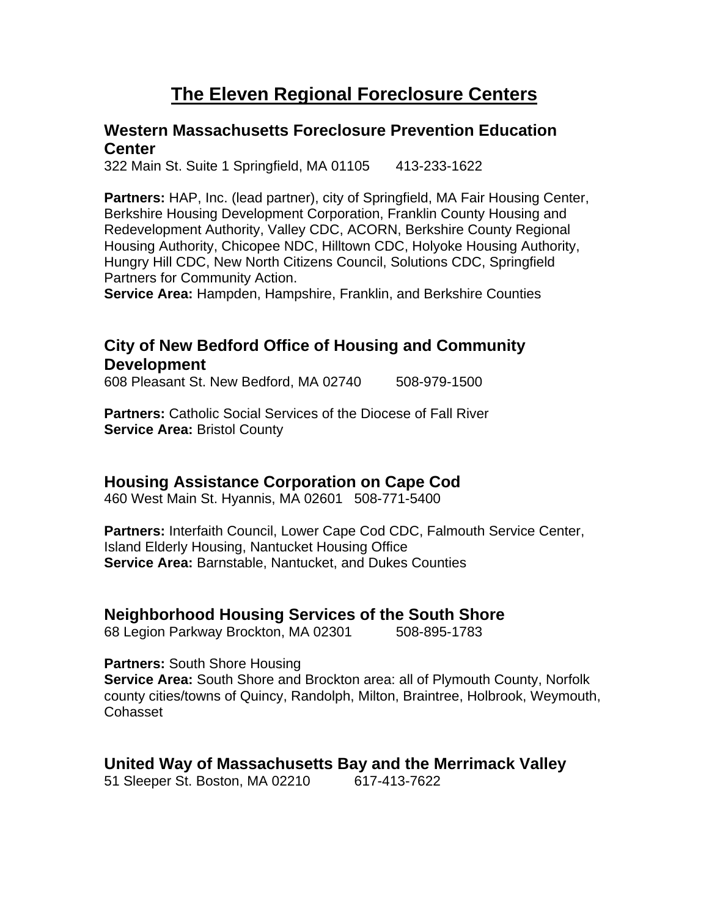# **The Eleven Regional Foreclosure Centers**

### **Western Massachusetts Foreclosure Prevention Education Center**

322 Main St. Suite 1 Springfield, MA 01105 413-233-1622

**Partners:** HAP, Inc. (lead partner), city of Springfield, MA Fair Housing Center, Berkshire Housing Development Corporation, Franklin County Housing and Redevelopment Authority, Valley CDC, ACORN, Berkshire County Regional Housing Authority, Chicopee NDC, Hilltown CDC, Holyoke Housing Authority, Hungry Hill CDC, New North Citizens Council, Solutions CDC, Springfield Partners for Community Action.

**Service Area:** Hampden, Hampshire, Franklin, and Berkshire Counties

# **City of New Bedford Office of Housing and Community Development**

608 Pleasant St. New Bedford, MA 02740 508-979-1500

**Partners:** Catholic Social Services of the Diocese of Fall River **Service Area: Bristol County** 

### **Housing Assistance Corporation on Cape Cod**

460 West Main St. Hyannis, MA 02601 508-771-5400

**Partners:** Interfaith Council, Lower Cape Cod CDC, Falmouth Service Center, Island Elderly Housing, Nantucket Housing Office **Service Area:** Barnstable, Nantucket, and Dukes Counties

### **Neighborhood Housing Services of the South Shore**

68 Legion Parkway Brockton, MA 02301 508-895-1783

**Partners:** South Shore Housing

**Service Area:** South Shore and Brockton area: all of Plymouth County, Norfolk county cities/towns of Quincy, Randolph, Milton, Braintree, Holbrook, Weymouth, Cohasset

### **United Way of Massachusetts Bay and the Merrimack Valley**

51 Sleeper St. Boston, MA 02210 617-413-7622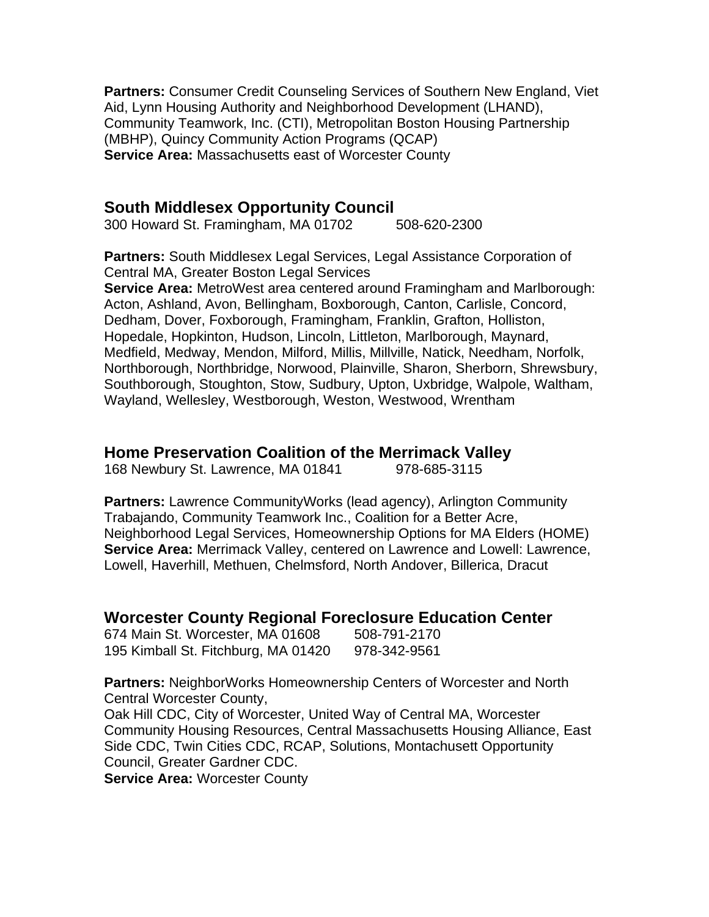**Partners:** Consumer Credit Counseling Services of Southern New England, Viet Aid, Lynn Housing Authority and Neighborhood Development (LHAND), Community Teamwork, Inc. (CTI), Metropolitan Boston Housing Partnership (MBHP), Quincy Community Action Programs (QCAP) **Service Area:** Massachusetts east of Worcester County

#### **South Middlesex Opportunity Council**

300 Howard St. Framingham, MA 01702 508-620-2300

**Partners:** South Middlesex Legal Services, Legal Assistance Corporation of Central MA, Greater Boston Legal Services

**Service Area:** MetroWest area centered around Framingham and Marlborough: Acton, Ashland, Avon, Bellingham, Boxborough, Canton, Carlisle, Concord, Dedham, Dover, Foxborough, Framingham, Franklin, Grafton, Holliston, Hopedale, Hopkinton, Hudson, Lincoln, Littleton, Marlborough, Maynard, Medfield, Medway, Mendon, Milford, Millis, Millville, Natick, Needham, Norfolk, Northborough, Northbridge, Norwood, Plainville, Sharon, Sherborn, Shrewsbury, Southborough, Stoughton, Stow, Sudbury, Upton, Uxbridge, Walpole, Waltham, Wayland, Wellesley, Westborough, Weston, Westwood, Wrentham

#### **Home Preservation Coalition of the Merrimack Valley**

168 Newbury St. Lawrence, MA 01841 978-685-3115

**Partners:** Lawrence CommunityWorks (lead agency), Arlington Community Trabajando, Community Teamwork Inc., Coalition for a Better Acre, Neighborhood Legal Services, Homeownership Options for MA Elders (HOME) **Service Area:** Merrimack Valley, centered on Lawrence and Lowell: Lawrence, Lowell, Haverhill, Methuen, Chelmsford, North Andover, Billerica, Dracut

#### **Worcester County Regional Foreclosure Education Center**

674 Main St. Worcester, MA 01608 508-791-2170 195 Kimball St. Fitchburg, MA 01420 978-342-9561

**Partners:** NeighborWorks Homeownership Centers of Worcester and North Central Worcester County,

Oak Hill CDC, City of Worcester, United Way of Central MA, Worcester Community Housing Resources, Central Massachusetts Housing Alliance, East Side CDC, Twin Cities CDC, RCAP, Solutions, Montachusett Opportunity Council, Greater Gardner CDC. **Service Area: Worcester County**